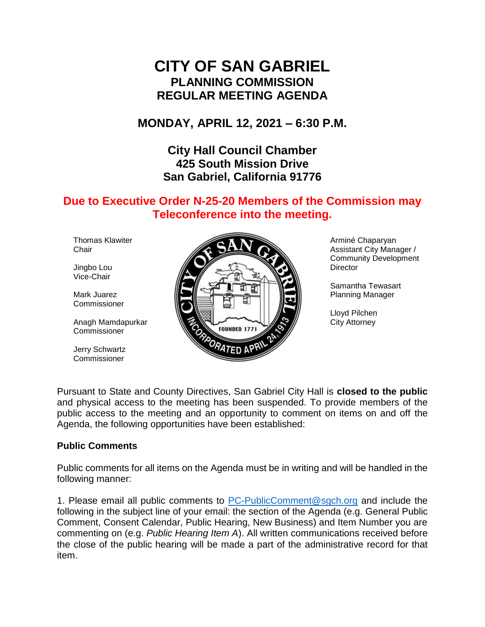# **CITY OF SAN GABRIEL PLANNING COMMISSION REGULAR MEETING AGENDA**

**MONDAY, APRIL 12, 2021 – 6:30 P.M.**

**City Hall Council Chamber 425 South Mission Drive San Gabriel, California 91776**

# **Due to Executive Order N-25-20 Members of the Commission may Teleconference into the meeting.**

Thomas Klawiter **Chair** 

Jingbo Lou Vice-Chair

Mark Juarez **Commissioner** 

Anagh Mamdapurkar Commissioner

Jerry Schwartz Commissioner



Arminé Chaparyan Assistant City Manager / Community Development **Director** 

Samantha Tewasart Planning Manager

Lloyd Pilchen City Attorney

Pursuant to State and County Directives, San Gabriel City Hall is **closed to the public** and physical access to the meeting has been suspended. To provide members of the public access to the meeting and an opportunity to comment on items on and off the Agenda, the following opportunities have been established:

#### **Public Comments**

Public comments for all items on the Agenda must be in writing and will be handled in the following manner:

1. Please email all public comments to [PC-PublicComment@sgch.org](mailto:PC-PublicComment@sgch.org) and include the following in the subject line of your email: the section of the Agenda (e.g. General Public Comment, Consent Calendar, Public Hearing, New Business) and Item Number you are commenting on (e.g. *Public Hearing Item A*). All written communications received before the close of the public hearing will be made a part of the administrative record for that item.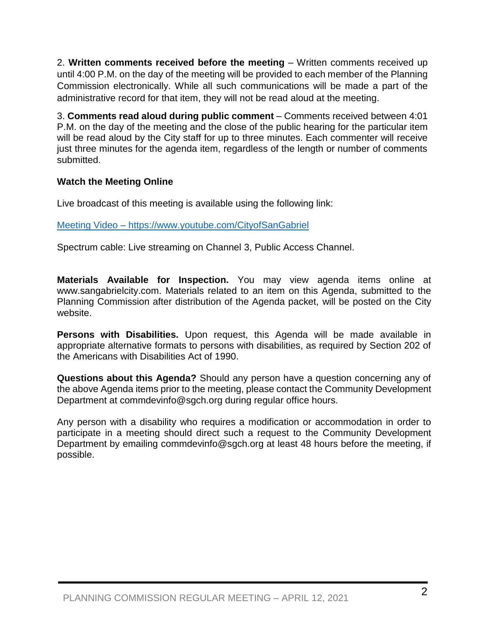2. **Written comments received before the meeting** – Written comments received up until 4:00 P.M. on the day of the meeting will be provided to each member of the Planning Commission electronically. While all such communications will be made a part of the administrative record for that item, they will not be read aloud at the meeting.

3. **Comments read aloud during public comment** – Comments received between 4:01 P.M. on the day of the meeting and the close of the public hearing for the particular item will be read aloud by the City staff for up to three minutes. Each commenter will receive just three minutes for the agenda item, regardless of the length or number of comments submitted.

## **Watch the Meeting Online**

Live broadcast of this meeting is available using the following link:

[Meeting Video](https://www.youtube.com/cityofsangabriel) – https://www.youtube.com/CityofSanGabriel

Spectrum cable: Live streaming on Channel 3, Public Access Channel.

**Materials Available for Inspection.** You may view agenda items online at www.sangabrielcity.com. Materials related to an item on this Agenda, submitted to the Planning Commission after distribution of the Agenda packet, will be posted on the City website.

**Persons with Disabilities.** Upon request, this Agenda will be made available in appropriate alternative formats to persons with disabilities, as required by Section 202 of the Americans with Disabilities Act of 1990.

**Questions about this Agenda?** Should any person have a question concerning any of the above Agenda items prior to the meeting, please contact the Community Development Department at commdevinfo@sgch.org during regular office hours.

Any person with a disability who requires a modification or accommodation in order to participate in a meeting should direct such a request to the Community Development Department by emailing commdevinfo@sgch.org at least 48 hours before the meeting, if possible.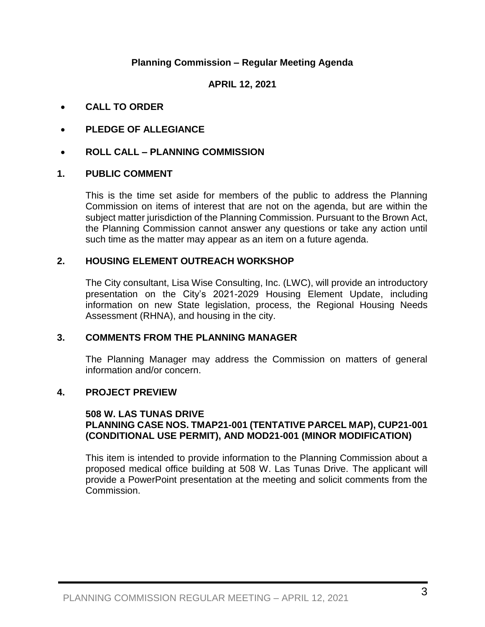## **Planning Commission – Regular Meeting Agenda**

**APRIL 12, 2021**

- **CALL TO ORDER**
- **PLEDGE OF ALLEGIANCE**
- **ROLL CALL – PLANNING COMMISSION**

#### **1. PUBLIC COMMENT**

This is the time set aside for members of the public to address the Planning Commission on items of interest that are not on the agenda, but are within the subject matter jurisdiction of the Planning Commission. Pursuant to the Brown Act, the Planning Commission cannot answer any questions or take any action until such time as the matter may appear as an item on a future agenda.

#### **2. HOUSING ELEMENT OUTREACH WORKSHOP**

The City consultant, Lisa Wise Consulting, Inc. (LWC), will provide an introductory presentation on the City's 2021-2029 Housing Element Update, including information on new State legislation, process, the Regional Housing Needs Assessment (RHNA), and housing in the city.

#### **3. COMMENTS FROM THE PLANNING MANAGER**

The Planning Manager may address the Commission on matters of general information and/or concern.

#### **4. PROJECT PREVIEW**

#### **508 W. LAS TUNAS DRIVE PLANNING CASE NOS. TMAP21-001 (TENTATIVE PARCEL MAP), CUP21-001 (CONDITIONAL USE PERMIT), AND MOD21-001 (MINOR MODIFICATION)**

This item is intended to provide information to the Planning Commission about a proposed medical office building at 508 W. Las Tunas Drive. The applicant will provide a PowerPoint presentation at the meeting and solicit comments from the Commission.